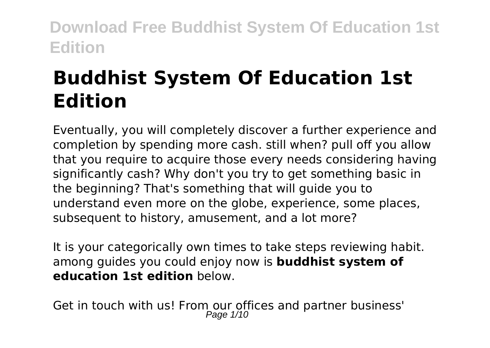# **Buddhist System Of Education 1st Edition**

Eventually, you will completely discover a further experience and completion by spending more cash. still when? pull off you allow that you require to acquire those every needs considering having significantly cash? Why don't you try to get something basic in the beginning? That's something that will guide you to understand even more on the globe, experience, some places, subsequent to history, amusement, and a lot more?

It is your categorically own times to take steps reviewing habit. among guides you could enjoy now is **buddhist system of education 1st edition** below.

Get in touch with us! From our offices and partner business'<br> $P_{\text{age 1/10}}$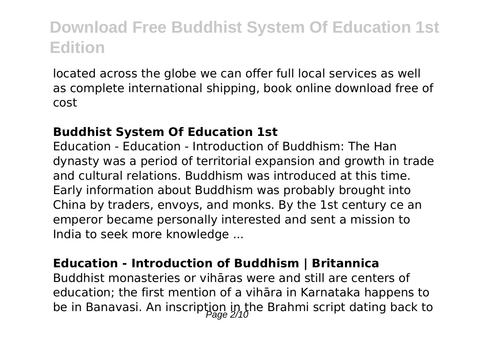located across the globe we can offer full local services as well as complete international shipping, book online download free of cost

#### **Buddhist System Of Education 1st**

Education - Education - Introduction of Buddhism: The Han dynasty was a period of territorial expansion and growth in trade and cultural relations. Buddhism was introduced at this time. Early information about Buddhism was probably brought into China by traders, envoys, and monks. By the 1st century ce an emperor became personally interested and sent a mission to India to seek more knowledge ...

#### **Education - Introduction of Buddhism | Britannica**

Buddhist monasteries or vihāras were and still are centers of education; the first mention of a vihāra in Karnataka happens to be in Banavasi. An inscription in the Brahmi script dating back to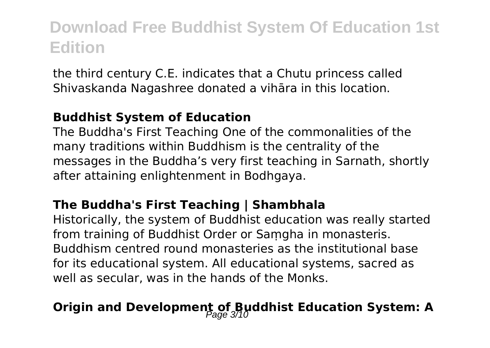the third century C.E. indicates that a Chutu princess called Shivaskanda Nagashree donated a vihāra in this location.

#### **Buddhist System of Education**

The Buddha's First Teaching One of the commonalities of the many traditions within Buddhism is the centrality of the messages in the Buddha's very first teaching in Sarnath, shortly after attaining enlightenment in Bodhgaya.

#### **The Buddha's First Teaching | Shambhala**

Historically, the system of Buddhist education was really started from training of Buddhist Order or Saṃgha in monasteris. Buddhism centred round monasteries as the institutional base for its educational system. All educational systems, sacred as well as secular, was in the hands of the Monks.

### **Origin and Development of Buddhist Education System: A**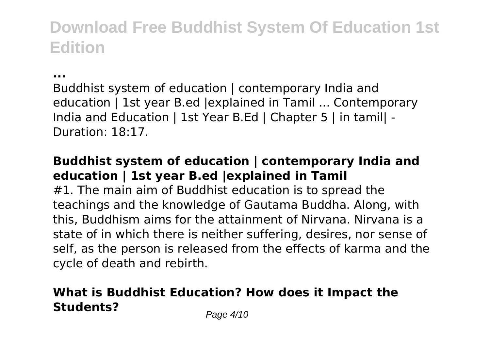**...**

Buddhist system of education | contemporary India and education | 1st year B.ed |explained in Tamil ... Contemporary India and Education | 1st Year B.Ed | Chapter 5 | in tamil| - Duration: 18:17.

#### **Buddhist system of education | contemporary India and education | 1st year B.ed |explained in Tamil**

#1. The main aim of Buddhist education is to spread the teachings and the knowledge of Gautama Buddha. Along, with this, Buddhism aims for the attainment of Nirvana. Nirvana is a state of in which there is neither suffering, desires, nor sense of self, as the person is released from the effects of karma and the cycle of death and rebirth.

### **What is Buddhist Education? How does it Impact the Students?** Page 4/10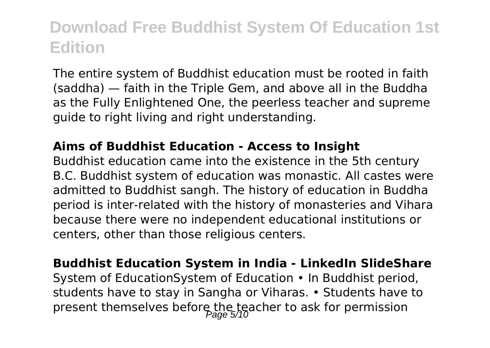The entire system of Buddhist education must be rooted in faith (saddha) — faith in the Triple Gem, and above all in the Buddha as the Fully Enlightened One, the peerless teacher and supreme guide to right living and right understanding.

#### **Aims of Buddhist Education - Access to Insight**

Buddhist education came into the existence in the 5th century B.C. Buddhist system of education was monastic. All castes were admitted to Buddhist sangh. The history of education in Buddha period is inter-related with the history of monasteries and Vihara because there were no independent educational institutions or centers, other than those religious centers.

**Buddhist Education System in India - LinkedIn SlideShare** System of EducationSystem of Education • In Buddhist period, students have to stay in Sangha or Viharas. • Students have to present themselves before the teacher to ask for permission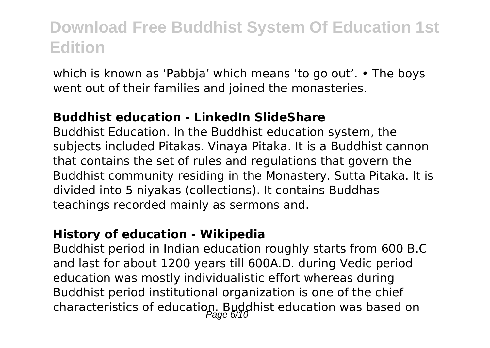which is known as 'Pabbja' which means 'to go out'. • The boys went out of their families and joined the monasteries.

#### **Buddhist education - LinkedIn SlideShare**

Buddhist Education. In the Buddhist education system, the subjects included Pitakas. Vinaya Pitaka. It is a Buddhist cannon that contains the set of rules and regulations that govern the Buddhist community residing in the Monastery. Sutta Pitaka. It is divided into 5 niyakas (collections). It contains Buddhas teachings recorded mainly as sermons and.

#### **History of education - Wikipedia**

Buddhist period in Indian education roughly starts from 600 B.C and last for about 1200 years till 600A.D. during Vedic period education was mostly individualistic effort whereas during Buddhist period institutional organization is one of the chief characteristics of education. Buddhist education was based on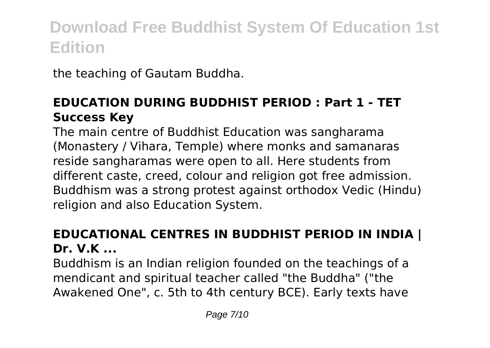the teaching of Gautam Buddha.

#### **EDUCATION DURING BUDDHIST PERIOD : Part 1 - TET Success Key**

The main centre of Buddhist Education was sangharama (Monastery / Vihara, Temple) where monks and samanaras reside sangharamas were open to all. Here students from different caste, creed, colour and religion got free admission. Buddhism was a strong protest against orthodox Vedic (Hindu) religion and also Education System.

#### **EDUCATIONAL CENTRES IN BUDDHIST PERIOD IN INDIA | Dr. V.K ...**

Buddhism is an Indian religion founded on the teachings of a mendicant and spiritual teacher called "the Buddha" ("the Awakened One", c. 5th to 4th century BCE). Early texts have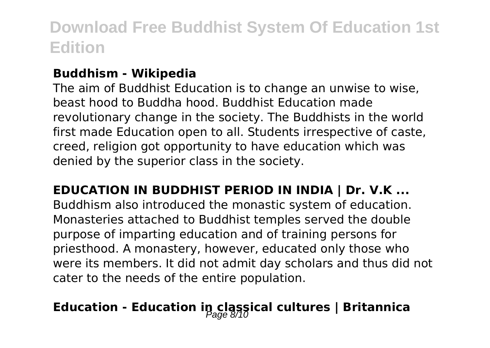#### **Buddhism - Wikipedia**

The aim of Buddhist Education is to change an unwise to wise, beast hood to Buddha hood. Buddhist Education made revolutionary change in the society. The Buddhists in the world first made Education open to all. Students irrespective of caste, creed, religion got opportunity to have education which was denied by the superior class in the society.

**EDUCATION IN BUDDHIST PERIOD IN INDIA | Dr. V.K ...** Buddhism also introduced the monastic system of education. Monasteries attached to Buddhist temples served the double purpose of imparting education and of training persons for priesthood. A monastery, however, educated only those who were its members. It did not admit day scholars and thus did not cater to the needs of the entire population.

## **Education - Education in classical cultures | Britannica**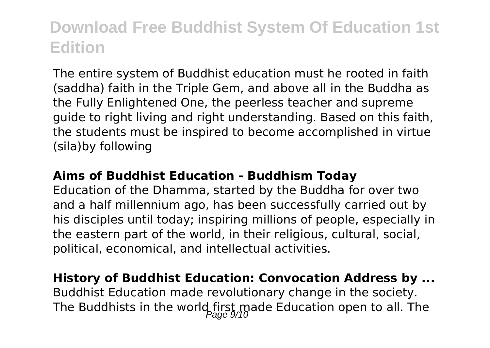The entire system of Buddhist education must he rooted in faith (saddha) faith in the Triple Gem, and above all in the Buddha as the Fully Enlightened One, the peerless teacher and supreme guide to right living and right understanding. Based on this faith, the students must be inspired to become accomplished in virtue (sila)by following

#### **Aims of Buddhist Education - Buddhism Today**

Education of the Dhamma, started by the Buddha for over two and a half millennium ago, has been successfully carried out by his disciples until today; inspiring millions of people, especially in the eastern part of the world, in their religious, cultural, social, political, economical, and intellectual activities.

#### **History of Buddhist Education: Convocation Address by ...**

Buddhist Education made revolutionary change in the society. The Buddhists in the world first made Education open to all. The